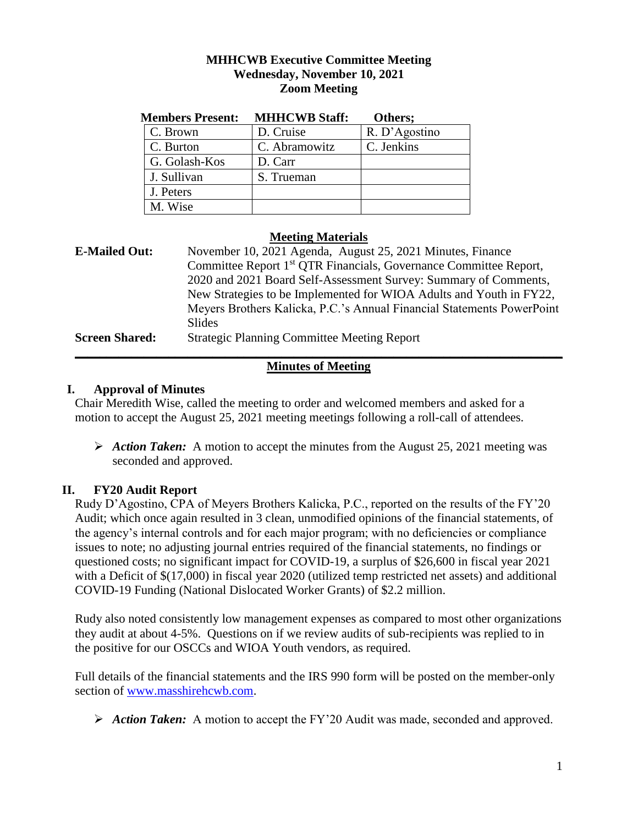### **MHHCWB Executive Committee Meeting Wednesday, November 10, 2021 Zoom Meeting**

| <b>Members Present:</b> | <b>MHHCWB Staff:</b> | Others;       |
|-------------------------|----------------------|---------------|
| C. Brown                | D. Cruise            | R. D'Agostino |
| C. Burton               | C. Abramowitz        | C. Jenkins    |
| G. Golash-Kos           | D. Carr              |               |
| J. Sullivan             | S. Trueman           |               |
| J. Peters               |                      |               |
| M. Wise                 |                      |               |

### **Meeting Materials**

| <b>E-Mailed Out:</b>  | November 10, 2021 Agenda, August 25, 2021 Minutes, Finance                    |  |  |
|-----------------------|-------------------------------------------------------------------------------|--|--|
|                       | Committee Report 1 <sup>st</sup> QTR Financials, Governance Committee Report, |  |  |
|                       | 2020 and 2021 Board Self-Assessment Survey: Summary of Comments,              |  |  |
|                       | New Strategies to be Implemented for WIOA Adults and Youth in FY22,           |  |  |
|                       | Meyers Brothers Kalicka, P.C.'s Annual Financial Statements PowerPoint        |  |  |
|                       | Slides                                                                        |  |  |
| <b>Screen Shared:</b> | <b>Strategic Planning Committee Meeting Report</b>                            |  |  |
|                       |                                                                               |  |  |

# **Minutes of Meeting**

### **I. Approval of Minutes**

Chair Meredith Wise, called the meeting to order and welcomed members and asked for a motion to accept the August 25, 2021 meeting meetings following a roll-call of attendees.

 *Action Taken:*A motion to accept the minutes from the August 25, 2021 meeting was seconded and approved.

# **II. FY20 Audit Report**

Rudy D'Agostino, CPA of Meyers Brothers Kalicka, P.C., reported on the results of the FY'20 Audit; which once again resulted in 3 clean, unmodified opinions of the financial statements, of the agency's internal controls and for each major program; with no deficiencies or compliance issues to note; no adjusting journal entries required of the financial statements, no findings or questioned costs; no significant impact for COVID-19, a surplus of \$26,600 in fiscal year 2021 with a Deficit of  $$(17,000)$  in fiscal year 2020 (utilized temp restricted net assets) and additional COVID-19 Funding (National Dislocated Worker Grants) of \$2.2 million.

Rudy also noted consistently low management expenses as compared to most other organizations they audit at about 4-5%. Questions on if we review audits of sub-recipients was replied to in the positive for our OSCCs and WIOA Youth vendors, as required.

Full details of the financial statements and the IRS 990 form will be posted on the member-only section of [www.masshirehcwb.com.](http://www.masshirehcwb.com/)

*Action Taken:*A motion to accept the FY'20 Audit was made, seconded and approved.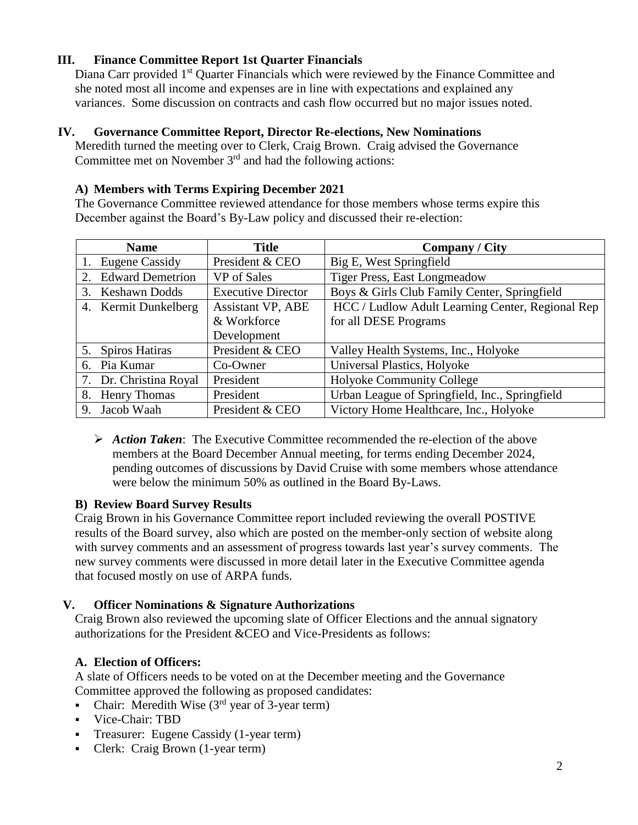# **III. Finance Committee Report 1st Quarter Financials**

Diana Carr provided 1<sup>st</sup> Quarter Financials which were reviewed by the Finance Committee and she noted most all income and expenses are in line with expectations and explained any variances. Some discussion on contracts and cash flow occurred but no major issues noted.

#### **IV. Governance Committee Report, Director Re-elections, New Nominations**

Meredith turned the meeting over to Clerk, Craig Brown. Craig advised the Governance Committee met on November  $3<sup>rd</sup>$  and had the following actions:

#### **A) Members with Terms Expiring December 2021**

The Governance Committee reviewed attendance for those members whose terms expire this December against the Board's By-Law policy and discussed their re-election:

| <b>Name</b>                |                 | <b>Title</b>              | <b>Company / City</b>                            |
|----------------------------|-----------------|---------------------------|--------------------------------------------------|
| 1. Eugene Cassidy          | President & CEO |                           | Big E, West Springfield                          |
| 2. Edward Demetrion        | VP of Sales     |                           | <b>Tiger Press, East Longmeadow</b>              |
| <b>Keshawn Dodds</b><br>3. |                 | <b>Executive Director</b> | Boys & Girls Club Family Center, Springfield     |
| 4. Kermit Dunkelberg       |                 | <b>Assistant VP, ABE</b>  | HCC / Ludlow Adult Learning Center, Regional Rep |
|                            | & Workforce     |                           | for all DESE Programs                            |
|                            | Development     |                           |                                                  |
| 5. Spiros Hatiras          | President & CEO |                           | Valley Health Systems, Inc., Holyoke             |
| 6. Pia Kumar               | Co-Owner        |                           | Universal Plastics, Holyoke                      |
| 7. Dr. Christina Royal     | President       |                           | <b>Holyoke Community College</b>                 |
| 8. Henry Thomas            | President       |                           | Urban League of Springfield, Inc., Springfield   |
| 9. Jacob Waah              | President & CEO |                           | Victory Home Healthcare, Inc., Holyoke           |

 *Action Taken*: The Executive Committee recommended the re-election of the above members at the Board December Annual meeting, for terms ending December 2024, pending outcomes of discussions by David Cruise with some members whose attendance were below the minimum 50% as outlined in the Board By-Laws.

#### **B) Review Board Survey Results**

Craig Brown in his Governance Committee report included reviewing the overall POSTIVE results of the Board survey, also which are posted on the member-only section of website along with survey comments and an assessment of progress towards last year's survey comments. The new survey comments were discussed in more detail later in the Executive Committee agenda that focused mostly on use of ARPA funds.

### **V. Officer Nominations & Signature Authorizations**

Craig Brown also reviewed the upcoming slate of Officer Elections and the annual signatory authorizations for the President &CEO and Vice-Presidents as follows:

### **A. Election of Officers:**

A slate of Officers needs to be voted on at the December meeting and the Governance Committee approved the following as proposed candidates:

- Chair: Meredith Wise  $(3<sup>rd</sup>$  year of 3-year term)
- Vice-Chair: TBD
- Treasurer: Eugene Cassidy (1-year term)
- Clerk: Craig Brown (1-year term)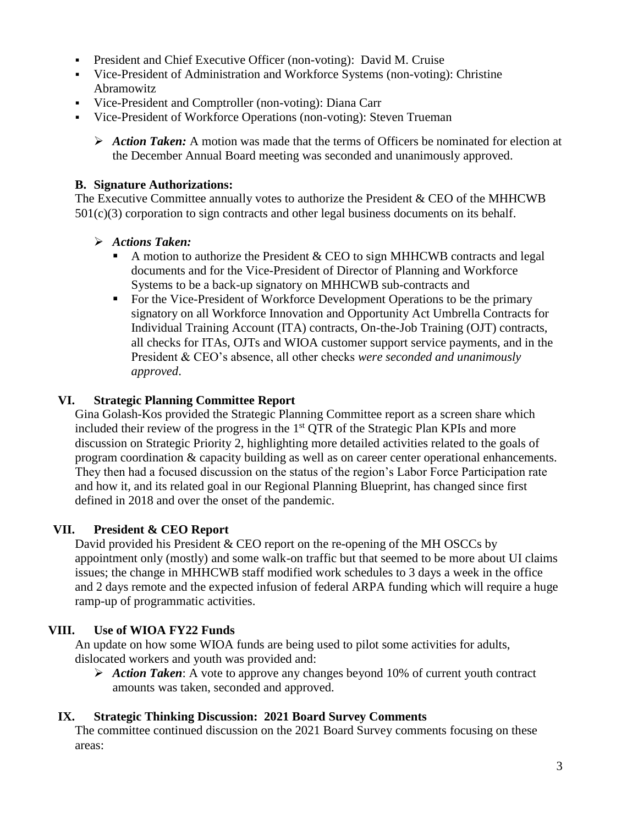- President and Chief Executive Officer (non-voting): David M. Cruise
- Vice-President of Administration and Workforce Systems (non-voting): Christine Abramowitz
- Vice-President and Comptroller (non-voting): Diana Carr
- Vice-President of Workforce Operations (non-voting): Steven Trueman
	- *Action Taken:* A motion was made that the terms of Officers be nominated for election at the December Annual Board meeting was seconded and unanimously approved.

### **B. Signature Authorizations:**

The Executive Committee annually votes to authorize the President & CEO of the MHHCWB  $501(c)(3)$  corporation to sign contracts and other legal business documents on its behalf.

### *Actions Taken:*

- A motion to authorize the President  $&$  CEO to sign MHHCWB contracts and legal documents and for the Vice-President of Director of Planning and Workforce Systems to be a back-up signatory on MHHCWB sub-contracts and
- For the Vice-President of Workforce Development Operations to be the primary signatory on all Workforce Innovation and Opportunity Act Umbrella Contracts for Individual Training Account (ITA) contracts, On-the-Job Training (OJT) contracts, all checks for ITAs, OJTs and WIOA customer support service payments, and in the President & CEO's absence, all other checks *were seconded and unanimously approved*.

# **VI. Strategic Planning Committee Report**

Gina Golash-Kos provided the Strategic Planning Committee report as a screen share which included their review of the progress in the  $1<sup>st</sup> QTR$  of the Strategic Plan KPIs and more discussion on Strategic Priority 2, highlighting more detailed activities related to the goals of program coordination & capacity building as well as on career center operational enhancements. They then had a focused discussion on the status of the region's Labor Force Participation rate and how it, and its related goal in our Regional Planning Blueprint, has changed since first defined in 2018 and over the onset of the pandemic.

# **VII. President & CEO Report**

David provided his President & CEO report on the re-opening of the MH OSCCs by appointment only (mostly) and some walk-on traffic but that seemed to be more about UI claims issues; the change in MHHCWB staff modified work schedules to 3 days a week in the office and 2 days remote and the expected infusion of federal ARPA funding which will require a huge ramp-up of programmatic activities.

# **VIII. Use of WIOA FY22 Funds**

An update on how some WIOA funds are being used to pilot some activities for adults, dislocated workers and youth was provided and:

 *Action Taken*: A vote to approve any changes beyond 10% of current youth contract amounts was taken, seconded and approved.

# **IX. Strategic Thinking Discussion: 2021 Board Survey Comments**

The committee continued discussion on the 2021 Board Survey comments focusing on these areas: